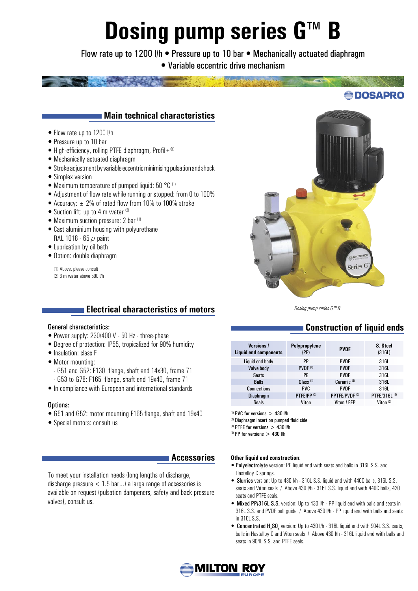# **Dosing pump series G™ B**

Flow rate up to 1200 l/h · Pressure up to 10 bar · Mechanically actuated diaphragm • Variable eccentric drive mechanism



## **Main technical characteristics**

- Flow rate up to 1200 l/h
- Pressure up to 10 bar
- High-efficiency, rolling PTFE diaphragm, Profil +  $^{\circledR}$
- Mechanically actuated diaphragm
- Stroke adjustment by variable eccentric minimising pulsation and shock
- Simplex version
- Maximum temperature of pumped liquid: 50 °C (1)
- Adjustment of flow rate while running or stopped: from 0 to 100%
- Accuracy:  $\pm$  2% of rated flow from 10% to 100% stroke
- Suction lift: up to 4 m water  $(2)$
- Maximum suction pressure: 2 bar (1)
- Cast aluminium housing with polyurethane RAL 1018 - 65  $\mu$  paint
- Lubrication by oil bath
- Option: double diaphragm

(1) Above, please consult (2) 3 m water above 590 l/h

## **Electrical characteristics of motors**

#### General characteristics:

- Power supply: 230/400 V 50 Hz three-phase
- Degree of protection: IP55, tropicalized for 90% humidity
- Insulation: class F
- Motor mounting:
	- G51 and G52: F130 flange, shaft end 14x30, frame 71
	- G53 to G78: F165 flange, shaft end 19x40, frame 71
- In compliance with European and international standards

#### Options:

- G51 and G52: motor mounting F165 flange, shaft end 19x40
- Special motors: consult us

#### **Accessories**

To meet your installation needs (long lengths of discharge, discharge pressure < 1.5 bar…) a large range of accessories is available on request (pulsation dampeners, safety and back pressure valves), consult us.



*Dosing pump series G™ B*

# **Construction of liquid ends**

| <b>Versions /</b><br><b>Liquid end components</b> | Polypropylene<br>(PP)  | <b>PVDF</b>               | S. Steel<br>(316L)       |
|---------------------------------------------------|------------------------|---------------------------|--------------------------|
| Liquid end body                                   | PP                     | <b>PVDF</b>               | 316L                     |
| Valve body                                        | <b>PVDF</b> (4)        | <b>PVDF</b>               | 316L                     |
| <b>Seats</b>                                      | PF                     | <b>PVDF</b>               | 316L                     |
| <b>Balls</b>                                      | Glass <sup>(1)</sup>   | Ceramic <sup>(3)</sup>    | 316L                     |
| <b>Connections</b>                                | PVC.                   | <b>PVDF</b>               | 316L                     |
| <b>Diaphragm</b>                                  | PTFE/PP <sup>(2)</sup> | PPTFE/PVDF <sup>(2)</sup> | PTFE/316L <sup>(2)</sup> |
| <b>Seals</b>                                      | Viton                  | Viton / FEP               | Viton $(3)$              |

 $(1)$  PVC for versions  $> 430$  l/h

(2) Diaphragm insert on pumped fluid side

 $(3)$  PTFE for versions  $> 430$  l/h

 $(4)$  PP for versions  $> 430$  l/h

#### **Other liquid end construction**:

- Polyelectrolyte version: PP liquid end with seats and balls in 316L S.S. and Hastelloy C springs.
- Slurries version: Up to 430 l/h 316L S.S. liquid end with 440C balls, 316L S.S. seats and Viton seals / Above 430 l/h - 316L S.S. liquid end with 440C balls, 420 seats and PTFE seals.
- Mixed PP/316L S.S. version: Up to 430 l/h PP liquid end with balls and seats in 316L S.S. and PVDF ball guide / Above 430 l/h - PP liquid end with balls and seats in 316L S.S.
- Concentrated  $H_2SO_4$  version: Up to 430 l/h 316L liquid end with 904L S.S. seats, balls in Hastelloy C and Viton seals / Above 430 l/h - 316L liquid end with balls and seats in 904L S.S. and PTFE seals.